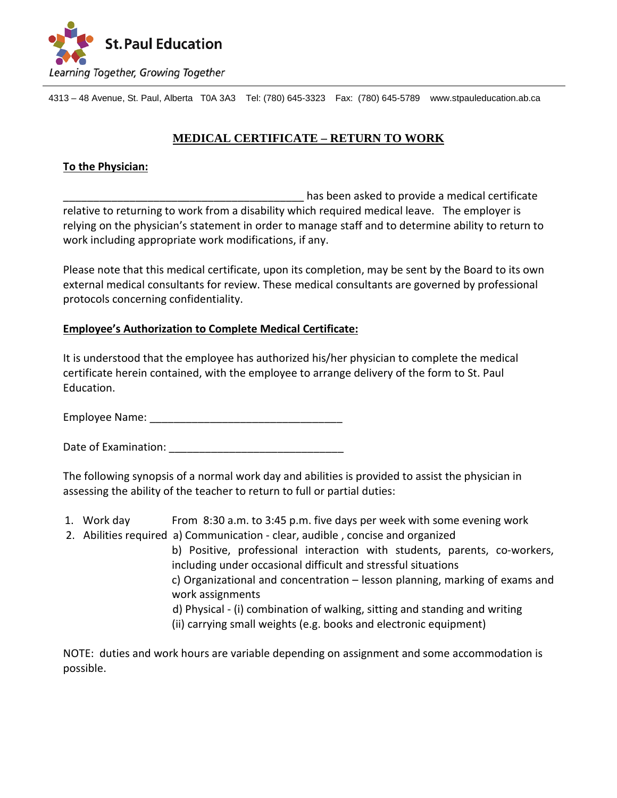

4313 – 48 Avenue, St. Paul, Alberta T0A 3A3 Tel: (780) 645-3323 Fax: (780) 645-5789 www.stpauleducation.ab.ca

# **MEDICAL CERTIFICATE – RETURN TO WORK**

# **To the Physician:**

has been asked to provide a medical certificate relative to returning to work from a disability which required medical leave. The employer is relying on the physician's statement in order to manage staff and to determine ability to return to work including appropriate work modifications, if any.

Please note that this medical certificate, upon its completion, may be sent by the Board to its own external medical consultants for review. These medical consultants are governed by professional protocols concerning confidentiality.

#### **Employee's Authorization to Complete Medical Certificate:**

It is understood that the employee has authorized his/her physician to complete the medical certificate herein contained, with the employee to arrange delivery of the form to St. Paul Education.

Employee Name:  $\blacksquare$ 

Date of Examination: **Examination**:

The following synopsis of a normal work day and abilities is provided to assist the physician in assessing the ability of the teacher to return to full or partial duties:

- 1. Work day From 8:30 a.m. to 3:45 p.m. five days per week with some evening work
- 2. Abilities required a) Communication clear, audible , concise and organized b) Positive, professional interaction with students, parents, co-workers, including under occasional difficult and stressful situations c) Organizational and concentration – lesson planning, marking of exams and work assignments d) Physical - (i) combination of walking, sitting and standing and writing (ii) carrying small weights (e.g. books and electronic equipment)

NOTE: duties and work hours are variable depending on assignment and some accommodation is possible.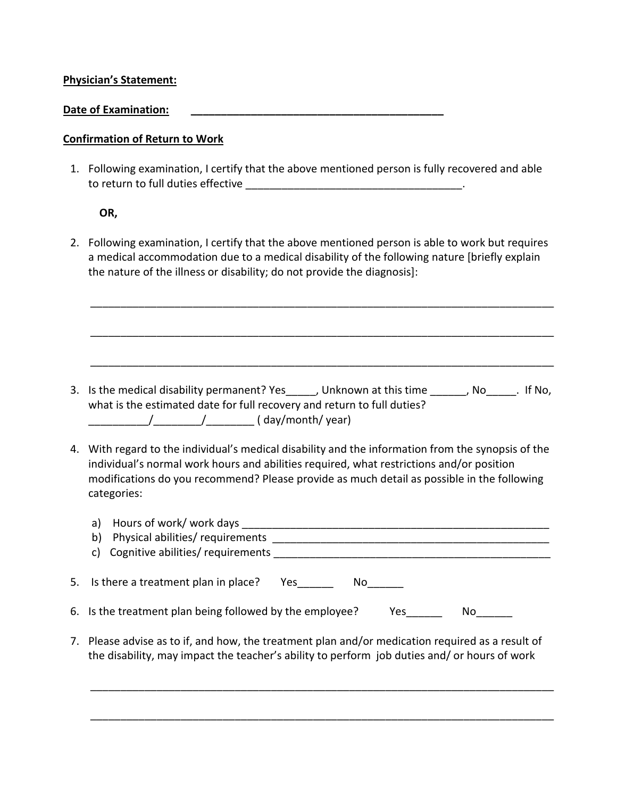## **Physician's Statement:**

#### Date of Examination:

## **Confirmation of Return to Work**

1. Following examination, I certify that the above mentioned person is fully recovered and able to return to full duties effective entries and the set of the set of the set of the set of the set of the set

#### **OR,**

2. Following examination, I certify that the above mentioned person is able to work but requires a medical accommodation due to a medical disability of the following nature [briefly explain the nature of the illness or disability; do not provide the diagnosis]:

\_\_\_\_\_\_\_\_\_\_\_\_\_\_\_\_\_\_\_\_\_\_\_\_\_\_\_\_\_\_\_\_\_\_\_\_\_\_\_\_\_\_\_\_\_\_\_\_\_\_\_\_\_\_\_\_\_\_\_\_\_\_\_\_\_\_\_\_\_\_\_\_\_\_\_\_\_

\_\_\_\_\_\_\_\_\_\_\_\_\_\_\_\_\_\_\_\_\_\_\_\_\_\_\_\_\_\_\_\_\_\_\_\_\_\_\_\_\_\_\_\_\_\_\_\_\_\_\_\_\_\_\_\_\_\_\_\_\_\_\_\_\_\_\_\_\_\_\_\_\_\_\_\_\_

\_\_\_\_\_\_\_\_\_\_\_\_\_\_\_\_\_\_\_\_\_\_\_\_\_\_\_\_\_\_\_\_\_\_\_\_\_\_\_\_\_\_\_\_\_\_\_\_\_\_\_\_\_\_\_\_\_\_\_\_\_\_\_\_\_\_\_\_\_\_\_\_\_\_\_\_\_

- 3. Is the medical disability permanent? Yes\_\_\_\_\_, Unknown at this time \_\_\_\_\_\_, No\_\_\_\_\_. If No, what is the estimated date for full recovery and return to full duties? \_\_\_\_\_\_\_\_\_\_/\_\_\_\_\_\_\_\_/\_\_\_\_\_\_\_\_ ( day/month/ year)
- 4. With regard to the individual's medical disability and the information from the synopsis of the individual's normal work hours and abilities required, what restrictions and/or position modifications do you recommend? Please provide as much detail as possible in the following categories:

|    | Hours of work/ work days<br>a)<br>Physical abilities/ requirements<br>b)<br>Cognitive abilities/ requirements<br>C)                                                                           |
|----|-----------------------------------------------------------------------------------------------------------------------------------------------------------------------------------------------|
|    | 5. Is there a treatment plan in place?<br>Yes<br>No l                                                                                                                                         |
|    | 6. Is the treatment plan being followed by the employee?<br>Yes<br>No l                                                                                                                       |
| 7. | Please advise as to if, and how, the treatment plan and/or medication required as a result of<br>the disability, may impact the teacher's ability to perform job duties and/ or hours of work |

\_\_\_\_\_\_\_\_\_\_\_\_\_\_\_\_\_\_\_\_\_\_\_\_\_\_\_\_\_\_\_\_\_\_\_\_\_\_\_\_\_\_\_\_\_\_\_\_\_\_\_\_\_\_\_\_\_\_\_\_\_\_\_\_\_\_\_\_\_\_\_\_\_\_\_\_\_

\_\_\_\_\_\_\_\_\_\_\_\_\_\_\_\_\_\_\_\_\_\_\_\_\_\_\_\_\_\_\_\_\_\_\_\_\_\_\_\_\_\_\_\_\_\_\_\_\_\_\_\_\_\_\_\_\_\_\_\_\_\_\_\_\_\_\_\_\_\_\_\_\_\_\_\_\_